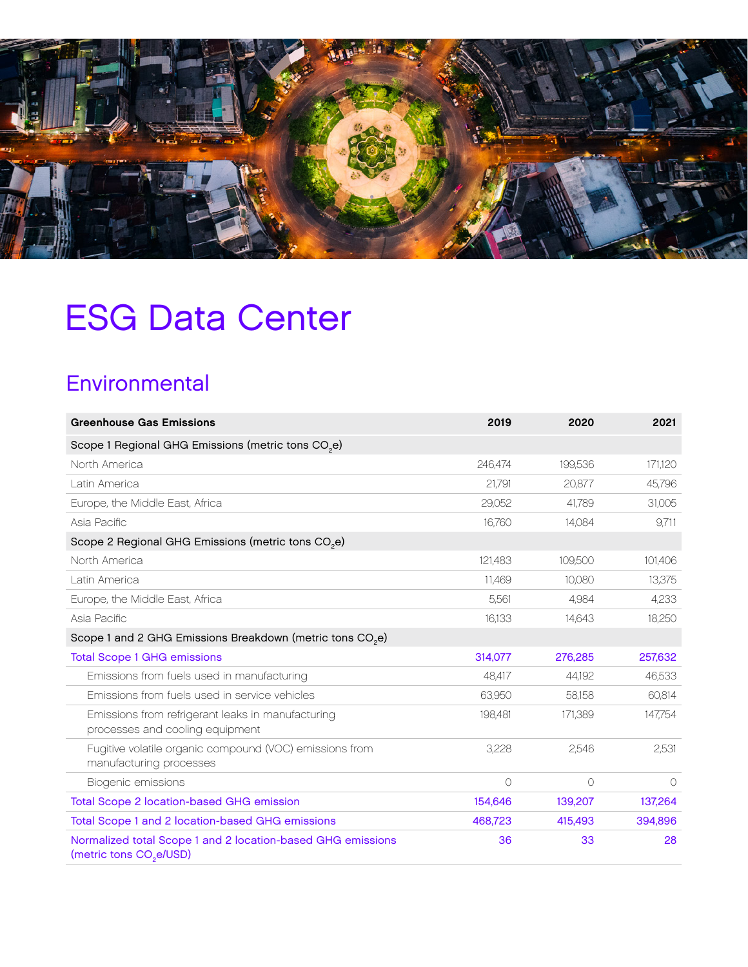

# ESG Data Center

### **Environmental**

| <b>Greenhouse Gas Emissions</b>                                                                    | 2019    | 2020       | 2021     |
|----------------------------------------------------------------------------------------------------|---------|------------|----------|
| Scope 1 Regional GHG Emissions (metric tons CO <sub>2</sub> e)                                     |         |            |          |
| North America                                                                                      | 246,474 | 199,536    | 171,120  |
| Latin America                                                                                      | 21,791  | 20,877     | 45,796   |
| Europe, the Middle East, Africa                                                                    | 29,052  | 41.789     | 31,005   |
| Asia Pacific                                                                                       | 16,760  | 14,084     | 9,711    |
| Scope 2 Regional GHG Emissions (metric tons CO <sub>2</sub> e)                                     |         |            |          |
| North America                                                                                      | 121,483 | 109,500    | 101,406  |
| Latin America                                                                                      | 11,469  | 10,080     | 13,375   |
| Europe, the Middle East, Africa                                                                    | 5,561   | 4,984      | 4,233    |
| Asia Pacific                                                                                       | 16,133  | 14,643     | 18,250   |
| Scope 1 and 2 GHG Emissions Breakdown (metric tons CO <sub>2</sub> e)                              |         |            |          |
| <b>Total Scope 1 GHG emissions</b>                                                                 | 314.077 | 276,285    | 257,632  |
| Emissions from fuels used in manufacturing                                                         | 48,417  | 44,192     | 46,533   |
| Emissions from fuels used in service vehicles                                                      | 63,950  | 58,158     | 60,814   |
| Emissions from refrigerant leaks in manufacturing<br>processes and cooling equipment               | 198,481 | 171,389    | 147,754  |
| Fugitive volatile organic compound (VOC) emissions from<br>manufacturing processes                 | 3,228   | 2,546      | 2,531    |
| Biogenic emissions                                                                                 | $\circ$ | $\bigcirc$ | $\Omega$ |
| Total Scope 2 location-based GHG emission                                                          | 154,646 | 139,207    | 137,264  |
| Total Scope 1 and 2 location-based GHG emissions                                                   | 468,723 | 415,493    | 394,896  |
| Normalized total Scope 1 and 2 location-based GHG emissions<br>(metric tons CO <sub>2</sub> e/USD) | 36      | 33         | 28       |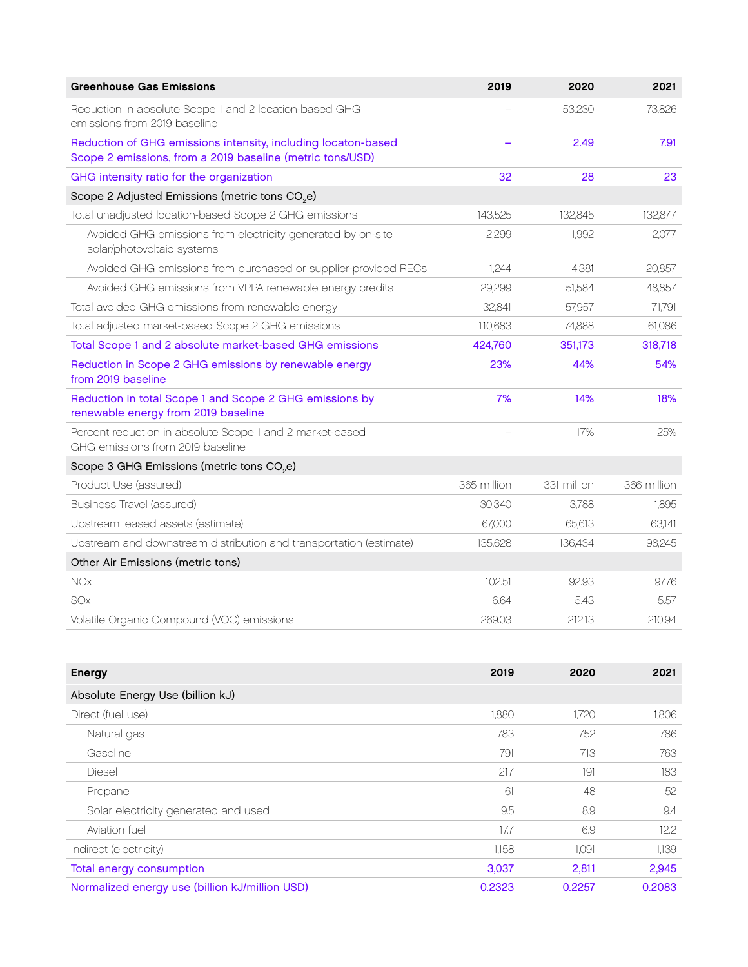| <b>Greenhouse Gas Emissions</b>                                                                                            | 2019        | 2020        | 2021        |
|----------------------------------------------------------------------------------------------------------------------------|-------------|-------------|-------------|
| Reduction in absolute Scope 1 and 2 location-based GHG<br>emissions from 2019 baseline                                     |             | 53,230      | 73,826      |
| Reduction of GHG emissions intensity, including locaton-based<br>Scope 2 emissions, from a 2019 baseline (metric tons/USD) |             | 2.49        | 7.91        |
| GHG intensity ratio for the organization                                                                                   | 32          | 28          | 23          |
| Scope 2 Adjusted Emissions (metric tons CO <sub>2</sub> e)                                                                 |             |             |             |
| Total unadjusted location-based Scope 2 GHG emissions                                                                      | 143.525     | 132.845     | 132,877     |
| Avoided GHG emissions from electricity generated by on-site<br>solar/photovoltaic systems                                  | 2,299       | 1,992       | 2,077       |
| Avoided GHG emissions from purchased or supplier-provided RECs                                                             | 1.244       | 4,381       | 20,857      |
| Avoided GHG emissions from VPPA renewable energy credits                                                                   | 29,299      | 51,584      | 48,857      |
| Total avoided GHG emissions from renewable energy                                                                          | 32,841      | 57.957      | 71,791      |
| Total adjusted market-based Scope 2 GHG emissions                                                                          | 110,683     | 74,888      | 61,086      |
| Total Scope 1 and 2 absolute market-based GHG emissions                                                                    | 424,760     | 351,173     | 318,718     |
| Reduction in Scope 2 GHG emissions by renewable energy<br>from 2019 baseline                                               | 23%         | 44%         | 54%         |
| Reduction in total Scope 1 and Scope 2 GHG emissions by<br>renewable energy from 2019 baseline                             | 7%          | 14%         | 18%         |
| Percent reduction in absolute Scope 1 and 2 market-based<br>GHG emissions from 2019 baseline                               |             | 17%         | 25%         |
| Scope 3 GHG Emissions (metric tons CO <sub>2</sub> e)                                                                      |             |             |             |
| Product Use (assured)                                                                                                      | 365 million | 331 million | 366 million |
| <b>Business Travel (assured)</b>                                                                                           | 30,340      | 3,788       | 1.895       |
| Upstream leased assets (estimate)                                                                                          | 67.000      | 65.613      | 63,141      |
| Upstream and downstream distribution and transportation (estimate)                                                         | 135,628     | 136,434     | 98,245      |
| Other Air Emissions (metric tons)                                                                                          |             |             |             |
| <b>NOx</b>                                                                                                                 | 102.51      | 92.93       | 97.76       |
| SOx                                                                                                                        | 6.64        | 5.43        | 5.57        |
| Volatile Organic Compound (VOC) emissions                                                                                  | 269.03      | 212.13      | 210.94      |

| <b>Energy</b>                                  | 2019   | 2020   | 2021   |
|------------------------------------------------|--------|--------|--------|
| Absolute Energy Use (billion kJ)               |        |        |        |
| Direct (fuel use)                              | 1,880  | 1.720  | 1,806  |
| Natural gas                                    | 783    | 752    | 786    |
| Gasoline                                       | 791    | 713    | 763    |
| <b>Diesel</b>                                  | 217    | 191    | 183    |
| Propane                                        | 61     | 48     | 52     |
| Solar electricity generated and used           | 9.5    | 8.9    | 9.4    |
| Aviation fuel                                  | 17.7   | 6.9    | 12.2   |
| Indirect (electricity)                         | 1,158  | 1.091  | 1139   |
| <b>Total energy consumption</b>                | 3,037  | 2,811  | 2,945  |
| Normalized energy use (billion kJ/million USD) | 0.2323 | 0.2257 | 0.2083 |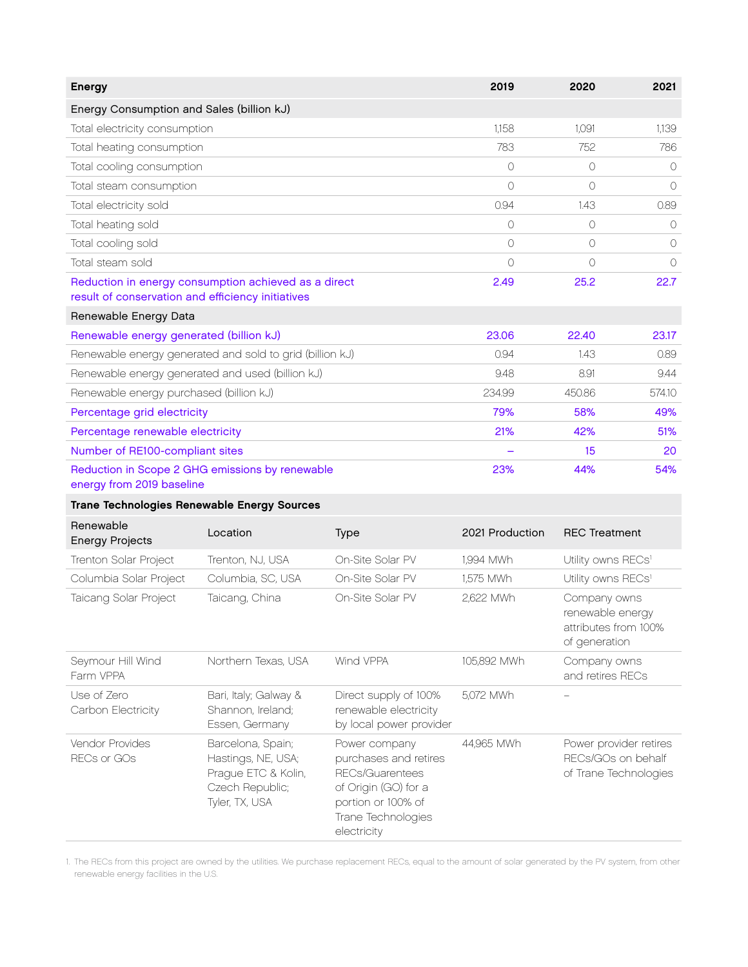| <b>Energy</b>                                                                                             | 2019       | 2020       | 2021       |
|-----------------------------------------------------------------------------------------------------------|------------|------------|------------|
| Energy Consumption and Sales (billion kJ)                                                                 |            |            |            |
| Total electricity consumption                                                                             | 1.158      | 1.091      | 1.139      |
| Total heating consumption                                                                                 | 783        | 752        | 786        |
| Total cooling consumption                                                                                 | 0          | $\bigcirc$ | $\bigcirc$ |
| Total steam consumption                                                                                   | $\bigcirc$ | $\bigcirc$ | $\bigcirc$ |
| Total electricity sold                                                                                    | 0.94       | 1.43       | 0.89       |
| Total heating sold                                                                                        | 0          | $\bigcirc$ | $\Omega$   |
| Total cooling sold                                                                                        | 0          | $\bigcirc$ | $\bigcirc$ |
| Total steam sold                                                                                          | $\bigcirc$ | $\bigcirc$ | $\circ$    |
| Reduction in energy consumption achieved as a direct<br>result of conservation and efficiency initiatives | 2.49       | 25.2       | 22.7       |
| Renewable Energy Data                                                                                     |            |            |            |
| Renewable energy generated (billion kJ)                                                                   | 23.06      | 22.40      | 23.17      |
| Renewable energy generated and sold to grid (billion kJ)                                                  | 0.94       | 1.43       | 0.89       |
| Renewable energy generated and used (billion kJ)                                                          | 9.48       | 8.91       | 9.44       |
| Renewable energy purchased (billion kJ)                                                                   | 234.99     | 450.86     | 574.10     |
| Percentage grid electricity                                                                               | 79%        | 58%        | 49%        |
| Percentage renewable electricity                                                                          | 21%        | 42%        | 51%        |
| Number of RE100-compliant sites                                                                           |            | 15         | 20         |
| Reduction in Scope 2 GHG emissions by renewable<br>energy from 2019 baseline                              | 23%        | 44%        | 54%        |
| <b>Trane Technologies Renewable Energy Sources</b>                                                        |            |            |            |

| Renewable<br><b>Energy Projects</b> | Location                                                                                            | <b>Type</b>                                                                                                                                         | 2021 Production | <b>REC Treatment</b>                                                      |
|-------------------------------------|-----------------------------------------------------------------------------------------------------|-----------------------------------------------------------------------------------------------------------------------------------------------------|-----------------|---------------------------------------------------------------------------|
| Trenton Solar Project               | Trenton, NJ, USA                                                                                    | On-Site Solar PV                                                                                                                                    | 1,994 MWh       | Utility owns RECs <sup>1</sup>                                            |
| Columbia Solar Project              | Columbia, SC, USA                                                                                   | On-Site Solar PV                                                                                                                                    | 1,575 MWh       | Utility owns RECs <sup>1</sup>                                            |
| Taicang Solar Project               | Taicang, China                                                                                      | On-Site Solar PV                                                                                                                                    | 2,622 MWh       | Company owns<br>renewable energy<br>attributes from 100%<br>of generation |
| Seymour Hill Wind<br>Farm VPPA      | Northern Texas, USA                                                                                 | Wind VPPA                                                                                                                                           | 105,892 MWh     | Company owns<br>and retires RECs                                          |
| Use of Zero<br>Carbon Electricity   | Bari, Italy; Galway &<br>Shannon, Ireland;<br>Essen, Germany                                        | Direct supply of 100%<br>renewable electricity<br>by local power provider                                                                           | 5.072 MWh       |                                                                           |
| Vendor Provides<br>RECs or GOs      | Barcelona, Spain;<br>Hastings, NE, USA;<br>Prague ETC & Kolin,<br>Czech Republic;<br>Tyler, TX, USA | Power company<br>purchases and retires<br><b>RECs/Guarentees</b><br>of Origin (GO) for a<br>portion or 100% of<br>Trane Technologies<br>electricity | 44,965 MWh      | Power provider retires<br>RECs/GOs on behalf<br>of Trane Technologies     |

1. The RECs from this project are owned by the utilities. We purchase replacement RECs, equal to the amount of solar generated by the PV system, from other renewable energy facilities in the U.S.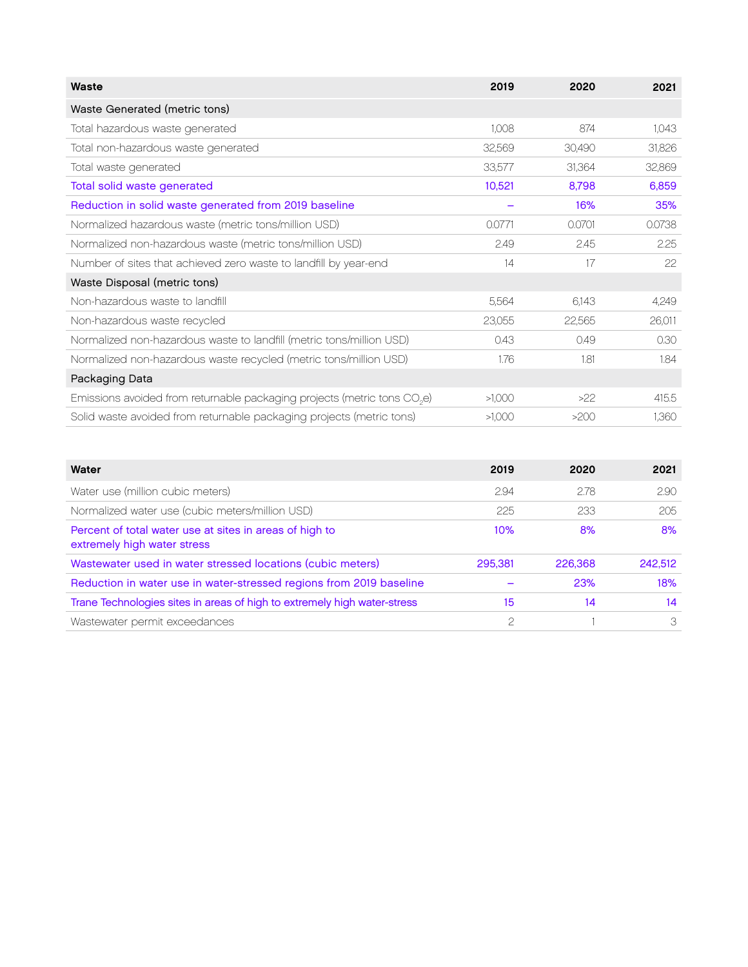| Waste                                                                                | 2019   | 2020   | 2021   |
|--------------------------------------------------------------------------------------|--------|--------|--------|
| Waste Generated (metric tons)                                                        |        |        |        |
| Total hazardous waste generated                                                      | 1,008  | 874    | 1.043  |
| Total non-hazardous waste generated                                                  | 32,569 | 30,490 | 31,826 |
| Total waste generated                                                                | 33,577 | 31,364 | 32,869 |
| Total solid waste generated                                                          | 10,521 | 8,798  | 6,859  |
| Reduction in solid waste generated from 2019 baseline                                |        | 16%    | 35%    |
| Normalized hazardous waste (metric tons/million USD)                                 | 0.0771 | 0.0701 | 0.0738 |
| Normalized non-hazardous waste (metric tons/million USD)                             | 2.49   | 2.45   | 2.25   |
| Number of sites that achieved zero waste to landfill by year-end                     | 14     | 17     | 22     |
| Waste Disposal (metric tons)                                                         |        |        |        |
| Non-hazardous waste to landfill                                                      | 5,564  | 6,143  | 4,249  |
| Non-hazardous waste recycled                                                         | 23,055 | 22,565 | 26,011 |
| Normalized non-hazardous waste to landfill (metric tons/million USD)                 | 0.43   | 0.49   | 0.30   |
| Normalized non-hazardous waste recycled (metric tons/million USD)                    | 1.76   | 1.81   | 1.84   |
| Packaging Data                                                                       |        |        |        |
| Emissions avoided from returnable packaging projects (metric tons CO <sub>2</sub> e) | >1,000 | >22    | 415.5  |
| Solid waste avoided from returnable packaging projects (metric tons)                 | >1,000 | >200   | 1,360  |

| Water                                                                                  | 2019    | 2020    | 2021    |
|----------------------------------------------------------------------------------------|---------|---------|---------|
| Water use (million cubic meters)                                                       | 2.94    | 2.78    | 2.90    |
| Normalized water use (cubic meters/million USD)                                        | 225     | 233     | 205     |
| Percent of total water use at sites in areas of high to<br>extremely high water stress | 10%     | 8%      | 8%      |
| Wastewater used in water stressed locations (cubic meters)                             | 295,381 | 226,368 | 242,512 |
| Reduction in water use in water-stressed regions from 2019 baseline                    |         | 23%     | 18%     |
| Trane Technologies sites in areas of high to extremely high water-stress               | 15      | 14      | 14      |
| Wastewater permit exceedances                                                          | 2       |         | 3       |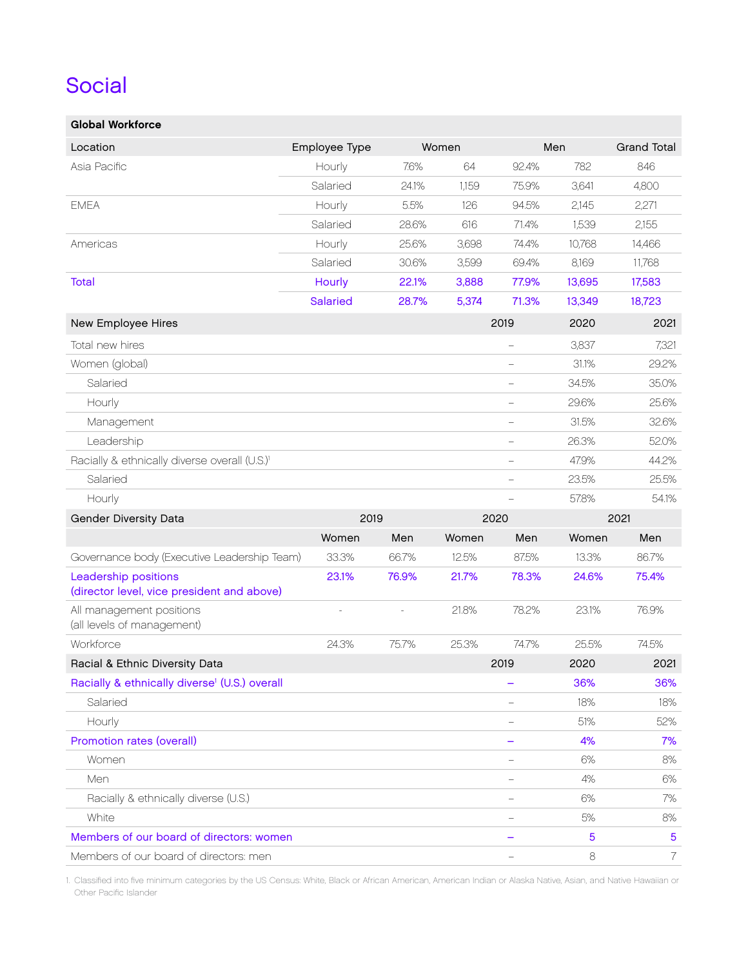#### Social

| <b>Global Workforce</b>                                            |                 |              |       |                          |         |                    |
|--------------------------------------------------------------------|-----------------|--------------|-------|--------------------------|---------|--------------------|
| Location                                                           | Employee Type   |              | Women |                          | Men     | <b>Grand Total</b> |
| Asia Pacific                                                       | Hourly          | 7.6%         | 64    | 92.4%                    | 782     | 846                |
|                                                                    | Salaried        | 24.1%        | 1,159 | 75.9%                    | 3,641   | 4,800              |
| <b>EMEA</b>                                                        | Hourly          | 5.5%         | 126   | 94.5%                    | 2,145   | 2,271              |
|                                                                    | Salaried        | 28.6%        | 616   | 71.4%                    | 1,539   | 2,155              |
| Americas                                                           | Hourly          | 25.6%        | 3,698 | 74.4%                    | 10.768  | 14,466             |
|                                                                    | Salaried        | 30.6%        | 3,599 | 69.4%                    | 8,169   | 11,768             |
| <b>Total</b>                                                       | Hourly          | 22.1%        | 3,888 | 77.9%                    | 13,695  | 17,583             |
|                                                                    | <b>Salaried</b> | 28.7%        | 5,374 | 71.3%                    | 13,349  | 18,723             |
| New Employee Hires                                                 |                 |              |       | 2019                     | 2020    | 2021               |
| Total new hires                                                    |                 |              |       | $\overline{\phantom{0}}$ | 3,837   | 7,321              |
| Women (global)                                                     |                 |              |       | $\overline{\phantom{0}}$ | 31.1%   | 29.2%              |
| Salaried                                                           |                 |              |       | $\overline{\phantom{0}}$ | 34.5%   | 35.0%              |
| Hourly                                                             |                 |              |       | $\overline{\phantom{0}}$ | 29.6%   | 25.6%              |
| Management                                                         |                 |              |       | $\overline{\phantom{0}}$ | 31.5%   | 32.6%              |
| Leadership                                                         |                 |              |       | $\qquad \qquad -$        | 26.3%   | 52.0%              |
| Racially & ethnically diverse overall (U.S.) <sup>1</sup>          |                 |              |       | $\overline{\phantom{0}}$ | 47.9%   | 44.2%              |
| Salaried                                                           |                 |              |       | $\overline{\phantom{0}}$ | 23.5%   | 25.5%              |
| Hourly                                                             |                 |              |       |                          | 57.8%   | 54.1%              |
| <b>Gender Diversity Data</b>                                       |                 | 2019<br>2020 |       |                          |         | 2021               |
|                                                                    | Women           | Men          | Women | Men                      | Women   | Men                |
| Governance body (Executive Leadership Team)                        | 33.3%           | 66.7%        | 12.5% | 87.5%                    | 13.3%   | 86.7%              |
| Leadership positions<br>(director level, vice president and above) | 23.1%           | 76.9%        | 21.7% | 78.3%                    | 24.6%   | 75.4%              |
| All management positions<br>(all levels of management)             |                 |              | 21.8% | 78.2%                    | 23.1%   | 76.9%              |
| Workforce                                                          | 24.3%           | 75.7%        | 25.3% | 74.7%                    | 25.5%   | 74.5%              |
| Racial & Ethnic Diversity Data                                     |                 |              |       | 2019                     | 2020    | 2021               |
| Racially & ethnically diverse <sup>1</sup> (U.S.) overall          |                 |              |       |                          | 36%     | 36%                |
| Salaried                                                           |                 |              |       |                          | 18%     | 18%                |
| Hourly                                                             |                 |              |       |                          | 51%     | 52%                |
| Promotion rates (overall)                                          |                 |              |       |                          | 4%      | 7%                 |
| Women                                                              |                 |              |       |                          | 6%      | 8%                 |
| Men                                                                |                 |              |       |                          | 4%      | 6%                 |
| Racially & ethnically diverse (U.S.)                               |                 |              |       |                          | 6%      | 7%                 |
| White                                                              |                 |              |       |                          | 5%      | $8%$               |
| Members of our board of directors: women                           |                 |              |       |                          | 5       | 5                  |
| Members of our board of directors: men                             |                 |              |       |                          | $\,8\,$ | 7                  |

1. Classified into five minimum categories by the US Census: White, Black or African American, American Indian or Alaska Native, Asian, and Native Hawaiian or Other Pacific Islander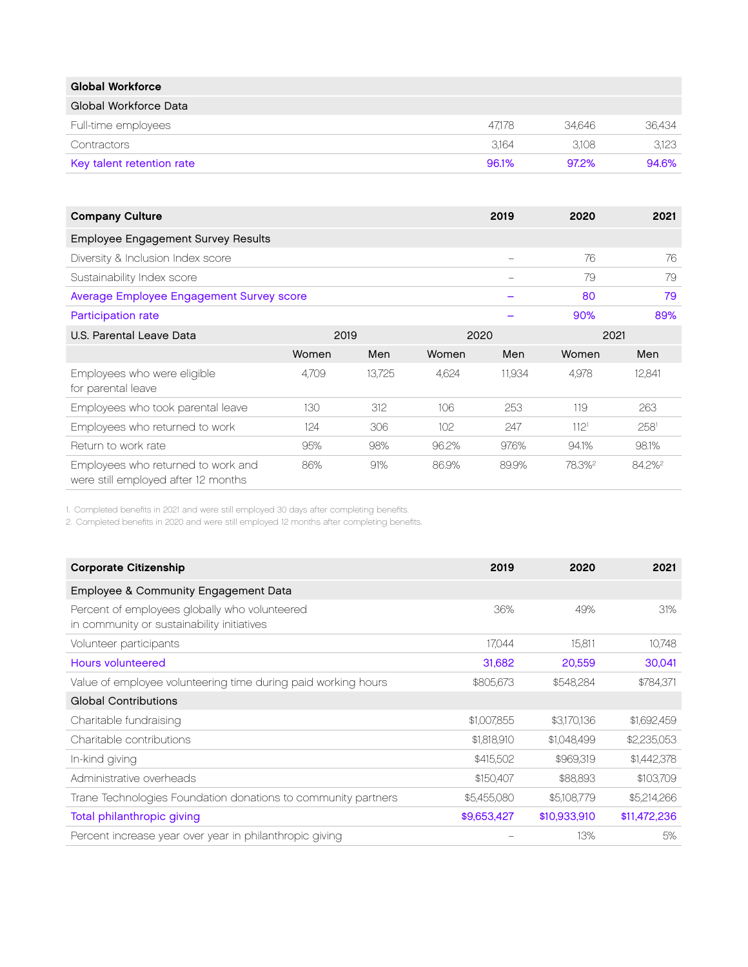| <b>Global Workforce</b>   |        |        |        |
|---------------------------|--------|--------|--------|
| Global Workforce Data     |        |        |        |
| Full-time employees       | 47.178 | 34.646 | 36.434 |
| Contractors               | 3.164  | 3.108  | 3.123  |
| Key talent retention rate | 96.1%  | 97.2%  | 94.6%  |

| <b>Company Culture</b>                                                    |       |        |       | 2019   | 2020               | 2021               |
|---------------------------------------------------------------------------|-------|--------|-------|--------|--------------------|--------------------|
| Employee Engagement Survey Results                                        |       |        |       |        |                    |                    |
| Diversity & Inclusion Index score                                         |       |        |       |        | 76                 | 76                 |
| Sustainability Index score                                                |       |        |       |        | 79                 | 79                 |
| Average Employee Engagement Survey score                                  |       |        |       |        | 80                 | 79                 |
| Participation rate                                                        |       |        |       |        | 90%                | 89%                |
| U.S. Parental Leave Data                                                  | 2019  |        | 2020  |        | 2021               |                    |
|                                                                           | Women | Men    | Women | Men    | Women              | Men                |
| Employees who were eligible<br>for parental leave                         | 4.709 | 13.725 | 4.624 | 11,934 | 4,978              | 12,841             |
| Employees who took parental leave                                         | 130   | 312    | 106   | 253    | 119                | 263                |
| Employees who returned to work                                            | 124   | 306    | 102   | 247    | 112 <sup>1</sup>   | 258 <sup>1</sup>   |
| Return to work rate                                                       | 95%   | 98%    | 96.2% | 97.6%  | 94.1%              | 98.1%              |
| Employees who returned to work and<br>were still employed after 12 months | 86%   | 91%    | 86.9% | 89.9%  | 78.3% <sup>2</sup> | 84.2% <sup>2</sup> |

1. Completed benefits in 2021 and were still employed 30 days after completing benefits.

2. Completed benefits in 2020 and were still employed 12 months after completing benefits.

| <b>Corporate Citizenship</b>                                                                | 2019        | 2020         | 2021         |
|---------------------------------------------------------------------------------------------|-------------|--------------|--------------|
| Employee & Community Engagement Data                                                        |             |              |              |
| Percent of employees globally who volunteered<br>in community or sustainability initiatives | 36%         | 49%          | 31%          |
| Volunteer participants                                                                      | 17.044      | 15.811       | 10,748       |
| Hours volunteered                                                                           | 31,682      | 20,559       | 30,041       |
| Value of employee volunteering time during paid working hours                               | \$805,673   | \$548,284    | \$784,371    |
| <b>Global Contributions</b>                                                                 |             |              |              |
| Charitable fundraising                                                                      | \$1,007,855 | \$3,170,136  | \$1,692,459  |
| Charitable contributions                                                                    | \$1,818,910 | \$1,048,499  | \$2,235,053  |
| In-kind giving                                                                              | \$415,502   | \$969,319    | \$1,442,378  |
| Administrative overheads                                                                    | \$150,407   | \$88,893     | \$103,709    |
| Trane Technologies Foundation donations to community partners                               | \$5,455,080 | \$5,108,779  | \$5,214,266  |
| Total philanthropic giving                                                                  | \$9,653,427 | \$10,933,910 | \$11,472,236 |
| Percent increase year over year in philanthropic giving                                     |             | 13%          | 5%           |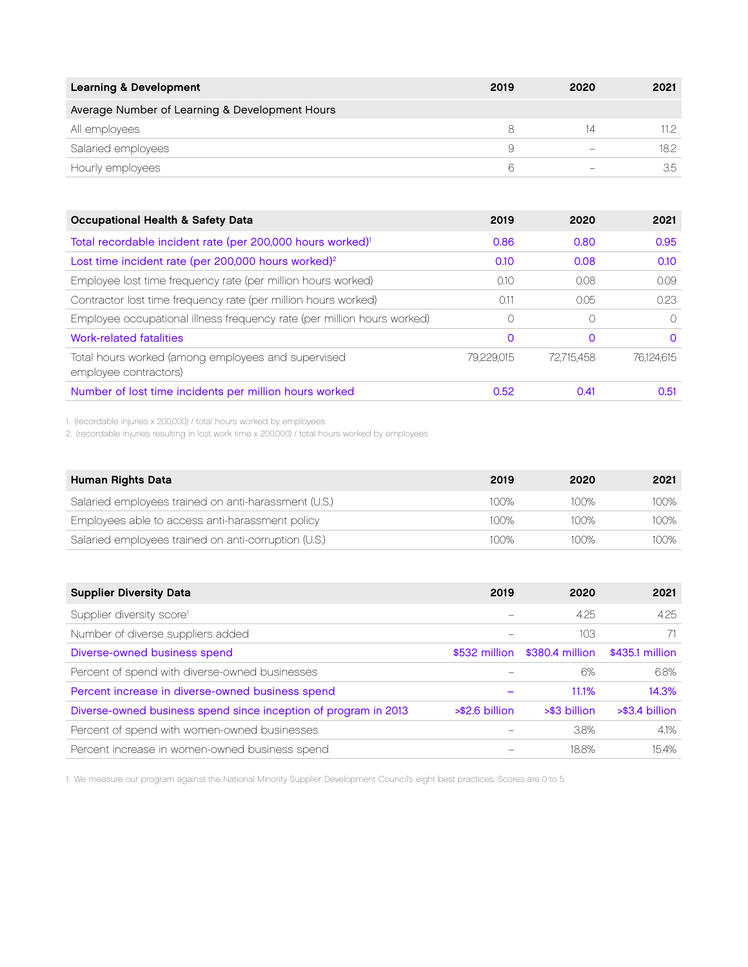| <b>Learning &amp; Development</b>              | 2019 | 2020 | 2021  |
|------------------------------------------------|------|------|-------|
| Average Number of Learning & Development Hours |      |      |       |
| All employees                                  |      |      | 11.2. |
| Salaried employees                             | 9    |      | 18.2  |
| Hourly employees                               | 6    |      | 3.5   |

| <b>Occupational Health &amp; Safety Data</b>                                | 2019       | 2020       | 2021       |
|-----------------------------------------------------------------------------|------------|------------|------------|
| Total recordable incident rate (per 200,000 hours worked) <sup>1</sup>      | 0.86       | 0.80       | 0.95       |
| Lost time incident rate (per 200,000 hours worked) <sup>2</sup>             | 0.10       | 0.08       | 0.10       |
| Employee lost time frequency rate (per million hours worked)                | 0.10       | 0.08       | 0.09       |
| Contractor lost time frequency rate (per million hours worked)              | 0.11       | 0.05       | 0.23       |
| Employee occupational illness frequency rate (per million hours worked)     | 0          |            | $\bigcap$  |
| Work-related fatalities                                                     | 0          | 0          | $\Omega$   |
| Total hours worked (among employees and supervised<br>employee contractors) | 79.229.015 | 72.715.458 | 76.124.615 |
| Number of lost time incidents per million hours worked                      | 0.52       | 0.41       | 0.51       |

1. (recordable injuries x 200,000) / total hours worked by employees

2. (recordable injuries resulting in lost work time x 200,000) / total hours worked by employees

| Human Rights Data                                    | 2019 | 2020 | 2021 |
|------------------------------------------------------|------|------|------|
| Salaried employees trained on anti-harassment (U.S.) | 100% | 100% | 100% |
| Employees able to access anti-harassment policy      | 100% | 100% | 100% |
| Salaried employees trained on anti-corruption (U.S.) | 100% | 100% | 100% |

| <b>Supplier Diversity Data</b>                                  | 2019             | 2020            | 2021            |
|-----------------------------------------------------------------|------------------|-----------------|-----------------|
| Supplier diversity score <sup>1</sup>                           |                  | 4.25            | 4.25            |
| Number of diverse suppliers added                               |                  | 103             |                 |
| Diverse-owned business spend                                    | \$532 million    | \$380.4 million | \$435.1 million |
| Percent of spend with diverse-owned businesses                  |                  | 6%              | 6.8%            |
| Percent increase in diverse-owned business spend                |                  | 11.1%           | 14.3%           |
| Diverse-owned business spend since inception of program in 2013 | $> $2.6$ billion | >\$3 billion    | >\$3.4 billion  |
| Percent of spend with women-owned businesses                    |                  | 3.8%            | 4.1%            |
| Percent increase in women-owned business spend                  |                  | 18.8%           | 15.4%           |

1. We measure our program against the National Minority Supplier Development Council's eight best practices. Scores are 0 to 5.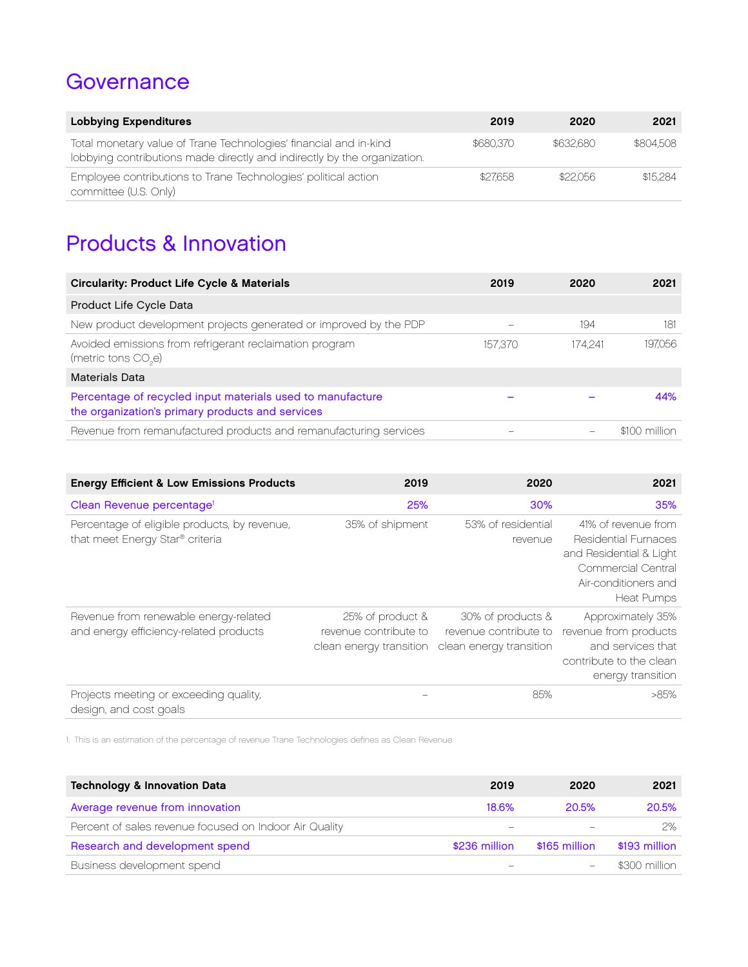#### **Governance**

| <b>Lobbying Expenditures</b>                                                                                                                  | 2019      | 2020      | 2021      |
|-----------------------------------------------------------------------------------------------------------------------------------------------|-----------|-----------|-----------|
| Total monetary value of Trane Technologies' financial and in-kind<br>lobbying contributions made directly and indirectly by the organization. | \$680.370 | \$632.680 | \$804.508 |
| Employee contributions to Trane Technologies' political action<br>committee (U.S. Only)                                                       | \$27,658  | \$22.056  | \$15,284  |

## Products & Innovation

| <b>Circularity: Product Life Cycle &amp; Materials</b>                                                         | 2019    | 2020    | 2021           |
|----------------------------------------------------------------------------------------------------------------|---------|---------|----------------|
| Product Life Cycle Data                                                                                        |         |         |                |
| New product development projects generated or improved by the PDP                                              |         | 194     | 181            |
| Avoided emissions from refrigerant reclaimation program<br>(metric tons CO <sub>2</sub> e)                     | 157.370 | 174.241 | 197.056        |
| <b>Materials Data</b>                                                                                          |         |         |                |
| Percentage of recycled input materials used to manufacture<br>the organization's primary products and services |         |         | 44%            |
| Revenue from remanufactured products and remanufacturing services                                              |         |         | $$100$ million |

| <b>Energy Efficient &amp; Low Emissions Products</b>                            | 2019                                                                 | 2020                                                                  | 2021                                                                                                                                                    |
|---------------------------------------------------------------------------------|----------------------------------------------------------------------|-----------------------------------------------------------------------|---------------------------------------------------------------------------------------------------------------------------------------------------------|
| Clean Revenue percentage <sup>1</sup>                                           | 25%                                                                  | 30%                                                                   | 35%                                                                                                                                                     |
| Percentage of eligible products, by revenue,<br>that meet Energy Star® criteria | 35% of shipment                                                      | 53% of residential<br>revenue                                         | 41% of revenue from<br><b>Residential Furnaces</b><br>and Residential & Light<br><b>Commercial Central</b><br>Air-conditioners and<br><b>Heat Pumps</b> |
| Revenue from renewable energy-related<br>and energy efficiency-related products | 25% of product &<br>revenue contribute to<br>clean energy transition | 30% of products &<br>revenue contribute to<br>clean energy transition | Approximately 35%<br>revenue from products<br>and services that<br>contribute to the clean<br>energy transition                                         |
| Projects meeting or exceeding quality,<br>design, and cost goals                |                                                                      | 85%                                                                   | >85%                                                                                                                                                    |

1. This is an estimation of the percentage of revenue Trane Technologies defines as Clean Revenue.

| <b>Technology &amp; Innovation Data</b>                | 2019          | 2020          | 2021           |
|--------------------------------------------------------|---------------|---------------|----------------|
| Average revenue from innovation                        | 18.6%         | 20.5%         | 20.5%          |
| Percent of sales revenue focused on Indoor Air Quality |               |               | 2%             |
| Research and development spend                         | \$236 million | \$165 million | \$193 million  |
| Business development spend                             |               |               | $$300$ million |